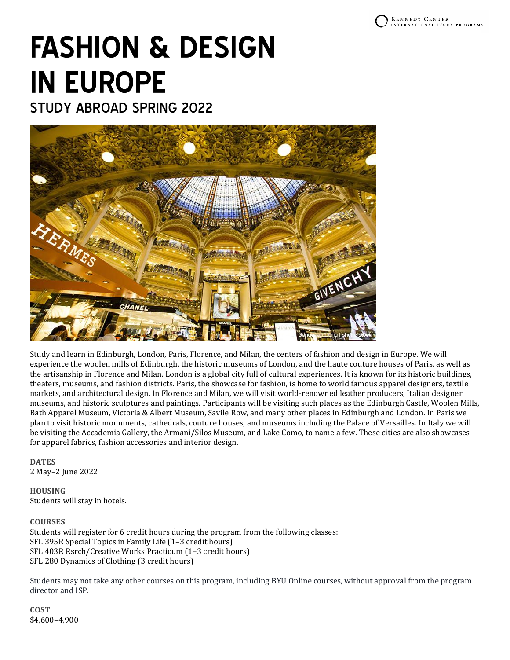# **FASHION & DESIGN IN EUROPE**

STUDY ABROAD SPRING 2022



Study and learn in Edinburgh, London, Paris, Florence, and Milan, the centers of fashion and design in Europe. We will experience the woolen mills of Edinburgh, the historic museums of London, and the haute couture houses of Paris, as well as the artisanship in Florence and Milan. London is a global city full of cultural experiences. It is known for its historic buildings, theaters, museums, and fashion districts. Paris, the showcase for fashion, is home to world famous apparel designers, textile markets, and architectural design. In Florence and Milan, we will visit world-renowned leather producers, Italian designer museums, and historic sculptures and paintings. Participants will be visiting such places as the Edinburgh Castle, Woolen Mills, Bath Apparel Museum, Victoria & Albert Museum, Savile Row, and many other places in Edinburgh and London. In Paris we plan to visit historic monuments, cathedrals, couture houses, and museums including the Palace of Versailles. In Italy we will be visiting the Accademia Gallery, the Armani/Silos Museum, and Lake Como, to name a few. These cities are also showcases for apparel fabrics, fashion accessories and interior design.

## **DATES** 2 May–2 June 2022

**HOUSING** Students will stay in hotels.

## **COURSES**

Students will register for 6 credit hours during the program from the following classes: SFL 395R Special Topics in Family Life (1–3 credit hours) SFL 403R Rsrch/Creative Works Practicum (1–3 credit hours) SFL 280 Dynamics of Clothing (3 credit hours)

Students may not take any other courses on this program, including BYU Online courses, without approval from the program director and ISP.

**COST** \$4,600–4,900